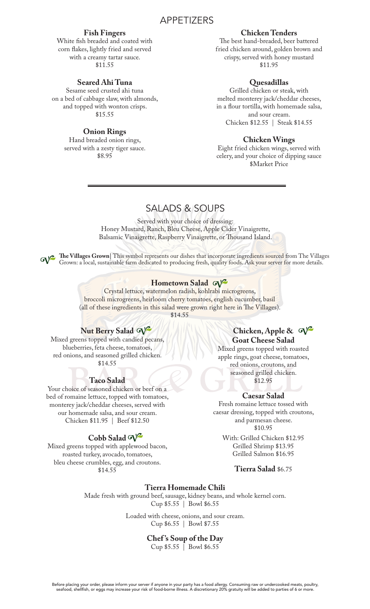# APPETIZERS

#### **Fish Fingers**

White fish breaded and coated with corn flakes, lightly fried and served with a creamy tartar sauce. \$11.55

# **Seared Ahi Tuna**

Sesame seed crusted ahi tuna on a bed of cabbage slaw, with almonds, and topped with wonton crisps. \$15.55

## **Onion Rings**

Hand breaded onion rings, served with a zesty tiger sauce. \$8.95

# **Chicken Tenders**

The best hand-breaded, beer battered fried chicken around, golden brown and crispy, served with honey mustard \$11.95

# **Quesadillas**

Grilled chicken or steak, with melted monterey jack/cheddar cheeses, in a flour tortilla, with homemade salsa, and sour cream. Chicken \$12.55 | Steak \$14.55

#### **Chicken Wings**

Eight fried chicken wings, served with celery, and your choice of dipping sauce \$Market Price

# SALADS & SOUPS

Served with your choice of dressing: Honey Mustard, Ranch, Bleu Cheese, Apple Cider Vinaigrette, Balsamic Vinaigrette, Raspberry Vinaigrette, or Thousand Island.

The Villages Grown| This symbol represents our dishes that incorporate ingredients sourced from The Villages Grown: a local, sustainable farm dedicated to producing fresh, quality foods. Ask your server for more details.

#### **Hometown Salad**

Crystal lettuce, watermelon radish, kohlrabi microgreens, broccoli microgreens, heirloom cherry tomatoes, english cucumber, basil (all of these ingredients in this salad were grown right here in The Villages). \$14.55

# **Nut Berry Salad**

Mixed greens topped with candied pecans, blueberries, feta cheese, tomatoes, red onions, and seasoned grilled chicken. \$14.55

# **Taco Salad**

Your choice of seasoned chicken or beef on a bed of romaine lettuce, topped with tomatoes, monterey jack/cheddar cheeses, served with our homemade salsa, and sour cream. Chicken \$11.95 | Beef \$12.50

# Cobb Salad  $\mathbb{Q}^2$

Mixed greens topped with applewood bacon, roasted turkey, avocado, tomatoes, bleu cheese crumbles, egg, and croutons. \$14.55

# **Chicken, Apple & Goat Cheese Salad**

Mixed greens topped with roasted apple rings, goat cheese, tomatoes, red onions, croutons, and seasoned grilled chicken. \$12.95

# **Caesar Salad**

Fresh romaine lettuce tossed with caesar dressing, topped with croutons, and parmesan cheese. \$10.95

With: Grilled Chicken \$12.95 Grilled Shrimp \$13.95 Grilled Salmon \$16.95

#### **Tierra Salad** \$6.75

#### **Tierra Homemade Chili**

Made fresh with ground beef, sausage, kidney beans, and whole kernel corn. Cup \$5.55 | Bowl \$6.55

> Loaded with cheese, onions, and sour cream. Cup \$6.55 | Bowl \$7.55

#### **Chef 's Soup of the Day**

 $Cup $5.55 \bar{\text{}}$  Bowl \$6.55

Before placing your order, please inform your server if anyone in your party has a food allergy. Consuming raw or undercooked meats, poultry,<br>seafood, shellfish, or eggs may increase your risk of food-borne illness. A disc